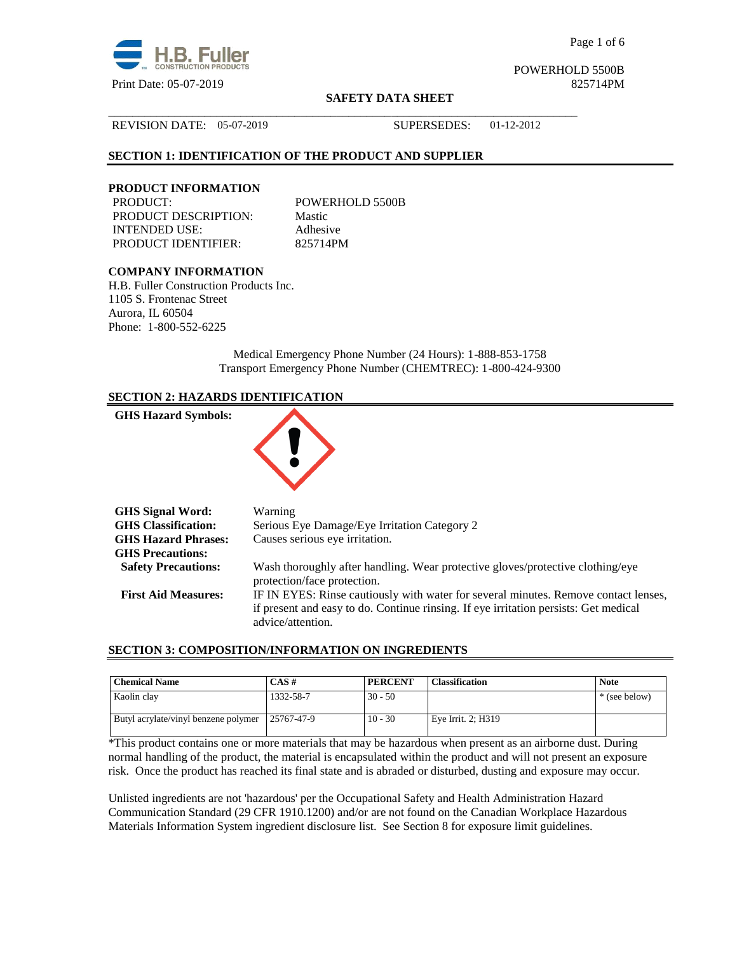

Page 1 of 6

POWERHOLD 5500B

## **SAFETY DATA SHEET**

#### REVISION DATE: 05-07-2019 SUPERSEDES: 01-12-2012

# **SECTION 1: IDENTIFICATION OF THE PRODUCT AND SUPPLIER**

## **PRODUCT INFORMATION**

PRODUCT: POWERHOLD 5500B PRODUCT DESCRIPTION: Mastic INTENDED USE: Adhesive PRODUCT IDENTIFIER: 825714PM

\_\_\_\_\_\_\_\_\_\_\_\_\_\_\_\_\_\_\_\_\_\_\_\_\_\_\_\_\_\_\_\_\_\_\_\_\_\_\_\_\_\_\_\_\_\_\_\_\_\_\_\_\_\_\_\_\_\_\_\_\_\_\_\_\_\_\_\_\_\_\_\_\_\_\_\_\_\_

# **COMPANY INFORMATION**

H.B. Fuller Construction Products Inc. 1105 S. Frontenac Street Aurora, IL 60504 Phone: 1-800-552-6225

> Medical Emergency Phone Number (24 Hours): 1-888-853-1758 Transport Emergency Phone Number (CHEMTREC): 1-800-424-9300

# **SECTION 2: HAZARDS IDENTIFICATION**



## **SECTION 3: COMPOSITION/INFORMATION ON INGREDIENTS**

| <b>Chemical Name</b>                 | $CAS \#$   | <b>PERCENT</b> | <b>Classification</b> | <b>Note</b>   |
|--------------------------------------|------------|----------------|-----------------------|---------------|
| Kaolin clay                          | 1332-58-7  | $30 - 50$      |                       | * (see below) |
| Butyl acrylate/vinyl benzene polymer | 25767-47-9 | $10 - 30$      | Eye Irrit. 2; H319    |               |

\*This product contains one or more materials that may be hazardous when present as an airborne dust. During normal handling of the product, the material is encapsulated within the product and will not present an exposure risk. Once the product has reached its final state and is abraded or disturbed, dusting and exposure may occur.

Unlisted ingredients are not 'hazardous' per the Occupational Safety and Health Administration Hazard Communication Standard (29 CFR 1910.1200) and/or are not found on the Canadian Workplace Hazardous Materials Information System ingredient disclosure list. See Section 8 for exposure limit guidelines.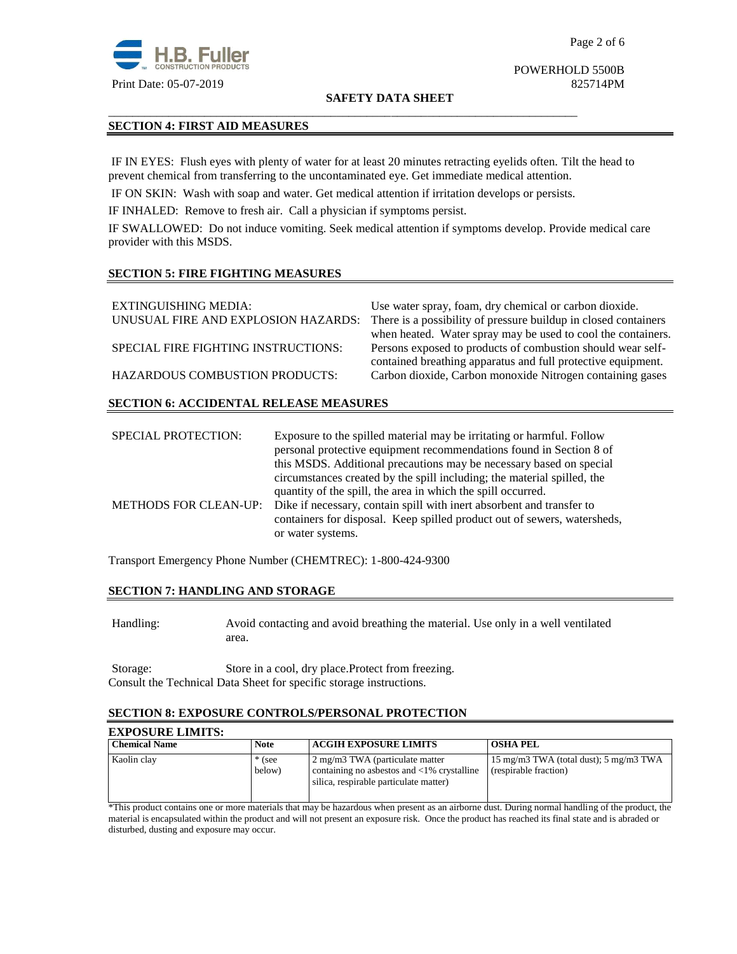

#### **SAFETY DATA SHEET**

# **SECTION 4: FIRST AID MEASURES**

IF IN EYES: Flush eyes with plenty of water for at least 20 minutes retracting eyelids often. Tilt the head to prevent chemical from transferring to the uncontaminated eye. Get immediate medical attention.

IF ON SKIN: Wash with soap and water. Get medical attention if irritation develops or persists.

\_\_\_\_\_\_\_\_\_\_\_\_\_\_\_\_\_\_\_\_\_\_\_\_\_\_\_\_\_\_\_\_\_\_\_\_\_\_\_\_\_\_\_\_\_\_\_\_\_\_\_\_\_\_\_\_\_\_\_\_\_\_\_\_\_\_\_\_\_\_\_\_\_\_\_\_\_\_

IF INHALED: Remove to fresh air. Call a physician if symptoms persist.

IF SWALLOWED:Do not induce vomiting. Seek medical attention if symptoms develop. Provide medical care provider with this MSDS.

# **SECTION 5: FIRE FIGHTING MEASURES**

| EXTINGUISHING MEDIA:<br>UNUSUAL FIRE AND EXPLOSION HAZARDS: | Use water spray, foam, dry chemical or carbon dioxide.<br>There is a possibility of pressure buildup in closed containers   |
|-------------------------------------------------------------|-----------------------------------------------------------------------------------------------------------------------------|
|                                                             | when heated. Water spray may be used to cool the containers.                                                                |
| SPECIAL FIRE FIGHTING INSTRUCTIONS:                         | Persons exposed to products of combustion should wear self-<br>contained breathing apparatus and full protective equipment. |
| <b>HAZARDOUS COMBUSTION PRODUCTS:</b>                       | Carbon dioxide, Carbon monoxide Nitrogen containing gases                                                                   |
|                                                             |                                                                                                                             |

# **SECTION 6: ACCIDENTAL RELEASE MEASURES**

| <b>SPECIAL PROTECTION:</b> | Exposure to the spilled material may be irritating or harmful. Follow                       |  |
|----------------------------|---------------------------------------------------------------------------------------------|--|
|                            | personal protective equipment recommendations found in Section 8 of                         |  |
|                            | this MSDS. Additional precautions may be necessary based on special                         |  |
|                            | circumstances created by the spill including; the material spilled, the                     |  |
|                            | quantity of the spill, the area in which the spill occurred.                                |  |
|                            | METHODS FOR CLEAN-UP: Dike if necessary, contain spill with inert absorbent and transfer to |  |
|                            | containers for disposal. Keep spilled product out of sewers, watersheds,                    |  |
|                            | or water systems.                                                                           |  |

Transport Emergency Phone Number (CHEMTREC): 1-800-424-9300

# **SECTION 7: HANDLING AND STORAGE**

Handling: Avoid contacting and avoid breathing the material. Use only in a well ventilated area.

Storage: Store in a cool, dry place.Protect from freezing. Consult the Technical Data Sheet for specific storage instructions.

#### **SECTION 8: EXPOSURE CONTROLS/PERSONAL PROTECTION**

#### **EXPOSURE LIMITS:**

| <b>Chemical Name</b> | <b>Note</b>        | <b>ACGIH EXPOSURE LIMITS</b>                                                                                                      | <b>OSHA PEL</b>                                                 |
|----------------------|--------------------|-----------------------------------------------------------------------------------------------------------------------------------|-----------------------------------------------------------------|
| Kaolin clav          | $*$ (see<br>below) | 2 mg/m3 TWA (particulate matter<br>containing no asbestos and $\langle 1\%$ crystalline<br>silica, respirable particulate matter) | 15 mg/m3 TWA (total dust); 5 mg/m3 TWA<br>(respirable fraction) |

\*This product contains one or more materials that may be hazardous when present as an airborne dust. During normal handling of the product, the material is encapsulated within the product and will not present an exposure risk. Once the product has reached its final state and is abraded or disturbed, dusting and exposure may occur.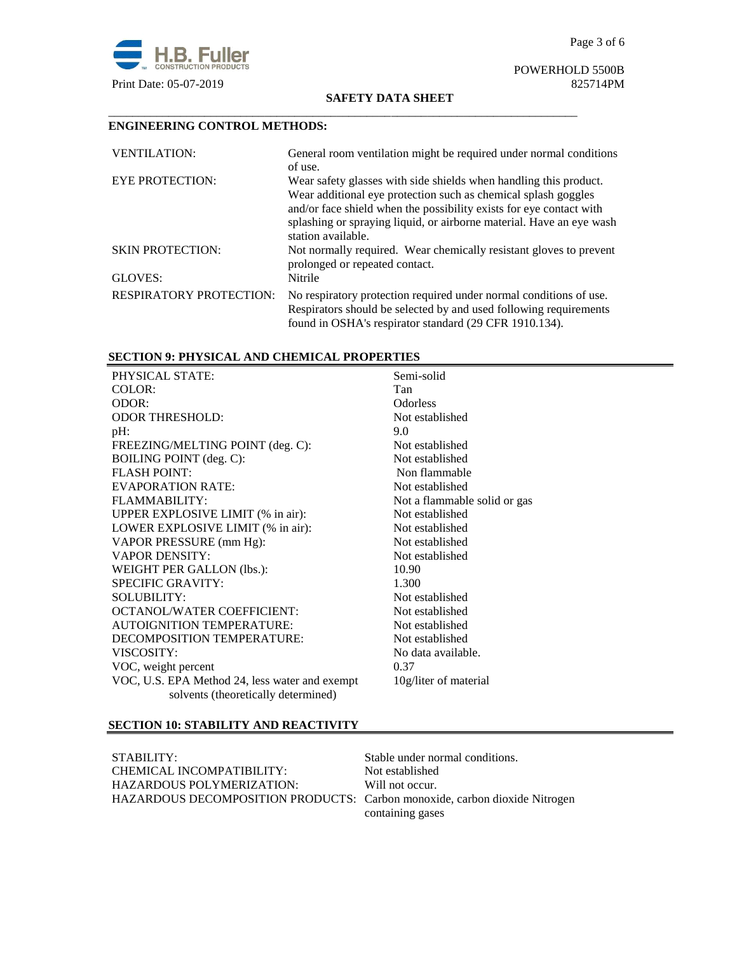

# POWERHOLD 5500B

#### **SAFETY DATA SHEET**

# **ENGINEERING CONTROL METHODS:**

| <b>VENTILATION:</b>            | General room ventilation might be required under normal conditions<br>of use.                                                                                                                                                                                                                            |
|--------------------------------|----------------------------------------------------------------------------------------------------------------------------------------------------------------------------------------------------------------------------------------------------------------------------------------------------------|
| <b>EYE PROTECTION:</b>         | Wear safety glasses with side shields when handling this product.<br>Wear additional eye protection such as chemical splash goggles<br>and/or face shield when the possibility exists for eye contact with<br>splashing or spraying liquid, or airborne material. Have an eye wash<br>station available. |
| <b>SKIN PROTECTION:</b>        | Not normally required. Wear chemically resistant gloves to prevent<br>prolonged or repeated contact.                                                                                                                                                                                                     |
| GLOVES:                        | Nitrile                                                                                                                                                                                                                                                                                                  |
| <b>RESPIRATORY PROTECTION:</b> | No respiratory protection required under normal conditions of use.<br>Respirators should be selected by and used following requirements<br>found in OSHA's respirator standard (29 CFR 1910.134).                                                                                                        |

\_\_\_\_\_\_\_\_\_\_\_\_\_\_\_\_\_\_\_\_\_\_\_\_\_\_\_\_\_\_\_\_\_\_\_\_\_\_\_\_\_\_\_\_\_\_\_\_\_\_\_\_\_\_\_\_\_\_\_\_\_\_\_\_\_\_\_\_\_\_\_\_\_\_\_\_\_\_

# **SECTION 9: PHYSICAL AND CHEMICAL PROPERTIES**

| PHYSICAL STATE:                                | Semi-solid                   |
|------------------------------------------------|------------------------------|
| COLOR:                                         | Tan                          |
| ODOR:                                          | <b>Odorless</b>              |
| <b>ODOR THRESHOLD:</b>                         | Not established              |
| pH:                                            | 9.0                          |
| FREEZING/MELTING POINT (deg. C):               | Not established              |
| BOILING POINT (deg. C):                        | Not established              |
| <b>FLASH POINT:</b>                            | Non flammable                |
| <b>EVAPORATION RATE:</b>                       | Not established              |
| FLAMMARILITY:                                  | Not a flammable solid or gas |
| UPPER EXPLOSIVE LIMIT (% in air):              | Not established              |
| LOWER EXPLOSIVE LIMIT (% in air):              | Not established              |
| VAPOR PRESSURE (mm Hg):                        | Not established              |
| <b>VAPOR DENSITY:</b>                          | Not established              |
| WEIGHT PER GALLON (lbs.):                      | 10.90                        |
| <b>SPECIFIC GRAVITY:</b>                       | 1.300                        |
| <b>SOLUBILITY:</b>                             | Not established              |
| <b>OCTANOL/WATER COEFFICIENT:</b>              | Not established              |
| AUTOIGNITION TEMPERATURE:                      | Not established              |
| DECOMPOSITION TEMPERATURE:                     | Not established              |
| VISCOSITY:                                     | No data available.           |
| VOC, weight percent                            | 0.37                         |
| VOC, U.S. EPA Method 24, less water and exempt | 10g/liter of material        |
| solvents (theoretically determined)            |                              |

# **SECTION 10: STABILITY AND REACTIVITY**

STABILITY: Stable under normal conditions.<br>
CHEMICAL INCOMPATIBILITY: Not established CHEMICAL INCOMPATIBILITY: HAZARDOUS POLYMERIZATION: Will not occur. HAZARDOUS DECOMPOSITION PRODUCTS: Carbon monoxide, carbon dioxide Nitrogen

containing gases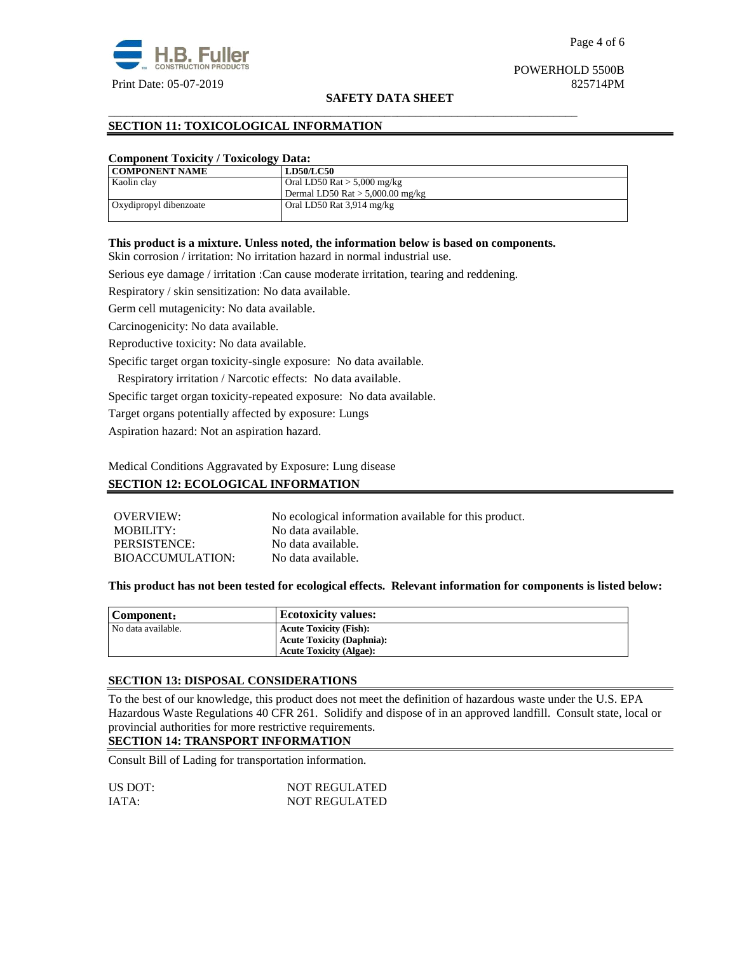

#### **SAFETY DATA SHEET**

# **SECTION 11: TOXICOLOGICAL INFORMATION**

## **Component Toxicity / Toxicology Data:**

| <b>COMPONENT NAME</b>  | <b>LD50/LC50</b>                   |
|------------------------|------------------------------------|
| Kaolin clay            | Oral LD50 Rat $>$ 5,000 mg/kg      |
|                        | Dermal LD50 Rat $> 5,000.00$ mg/kg |
| Oxydipropyl dibenzoate | Oral LD50 Rat 3,914 mg/kg          |
|                        |                                    |

# **This product is a mixture. Unless noted, the information below is based on components.**

\_\_\_\_\_\_\_\_\_\_\_\_\_\_\_\_\_\_\_\_\_\_\_\_\_\_\_\_\_\_\_\_\_\_\_\_\_\_\_\_\_\_\_\_\_\_\_\_\_\_\_\_\_\_\_\_\_\_\_\_\_\_\_\_\_\_\_\_\_\_\_\_\_\_\_\_\_\_

Skin corrosion / irritation: No irritation hazard in normal industrial use.

Serious eye damage / irritation :Can cause moderate irritation, tearing and reddening.

Respiratory / skin sensitization: No data available.

Germ cell mutagenicity: No data available.

Carcinogenicity: No data available.

Reproductive toxicity: No data available.

Specific target organ toxicity-single exposure:No data available.

Respiratory irritation / Narcotic effects: No data available.

Specific target organ toxicity-repeated exposure:No data available.

Target organs potentially affected by exposure: Lungs

Aspiration hazard: Not an aspiration hazard.

Medical Conditions Aggravated by Exposure: Lung disease

## **SECTION 12: ECOLOGICAL INFORMATION**

| OVERVIEW:        | No ecological information available for this product. |
|------------------|-------------------------------------------------------|
| MOBILITY:        | No data available.                                    |
| PERSISTENCE:     | No data available.                                    |
| BIOACCUMULATION: | No data available.                                    |

# **This product has not been tested for ecological effects. Relevant information for components is listed below:**

| Component:         | <b>Ecotoxicity values:</b>       |
|--------------------|----------------------------------|
| No data available. | <b>Acute Toxicity (Fish):</b>    |
|                    | <b>Acute Toxicity (Daphnia):</b> |
|                    | <b>Acute Toxicity (Algae):</b>   |

#### **SECTION 13: DISPOSAL CONSIDERATIONS**

To the best of our knowledge, this product does not meet the definition of hazardous waste under the U.S. EPA Hazardous Waste Regulations 40 CFR 261. Solidify and dispose of in an approved landfill. Consult state, local or provincial authorities for more restrictive requirements.

# **SECTION 14: TRANSPORT INFORMATION**

Consult Bill of Lading for transportation information.

| US DOT: | <b>NOT REGULATED</b> |
|---------|----------------------|
| IATA:   | <b>NOT REGULATED</b> |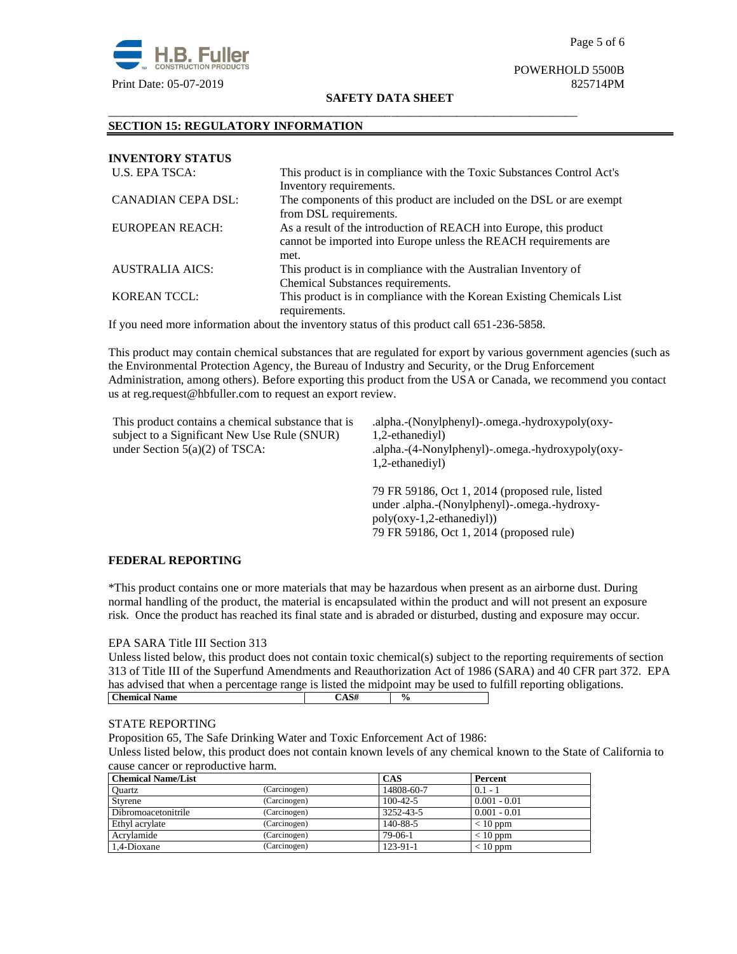

#### **SAFETY DATA SHEET**

\_\_\_\_\_\_\_\_\_\_\_\_\_\_\_\_\_\_\_\_\_\_\_\_\_\_\_\_\_\_\_\_\_\_\_\_\_\_\_\_\_\_\_\_\_\_\_\_\_\_\_\_\_\_\_\_\_\_\_\_\_\_\_\_\_\_\_\_\_\_\_\_\_\_\_\_\_\_

# **SECTION 15: REGULATORY INFORMATION**

| <b>INVENTORY STATUS</b> |                                                                                                                                        |
|-------------------------|----------------------------------------------------------------------------------------------------------------------------------------|
| U.S. EPA TSCA:          | This product is in compliance with the Toxic Substances Control Act's<br>Inventory requirements.                                       |
| CANADIAN CEPA DSL:      | The components of this product are included on the DSL or are exempt                                                                   |
|                         | from DSL requirements.                                                                                                                 |
| EUROPEAN REACH:         | As a result of the introduction of REACH into Europe, this product<br>cannot be imported into Europe unless the REACH requirements are |
|                         | met.                                                                                                                                   |
| AUSTRALIA AICS:         | This product is in compliance with the Australian Inventory of<br>Chemical Substances requirements.                                    |
| <b>KOREAN TCCL:</b>     | This product is in compliance with the Korean Existing Chemicals List<br>requirements.                                                 |

If you need more information about the inventory status of this product call 651-236-5858.

This product may contain chemical substances that are regulated for export by various government agencies (such as the Environmental Protection Agency, the Bureau of Industry and Security, or the Drug Enforcement Administration, among others). Before exporting this product from the USA or Canada, we recommend you contact us at reg.request@hbfuller.com to request an export review.

| This product contains a chemical substance that is<br>subject to a Significant New Use Rule (SNUR)<br>under Section $5(a)(2)$ of TSCA: | .alpha.-(Nonylphenyl)-.omega.-hydroxypoly(oxy-<br>1,2-ethanediyl)<br>.alpha.-(4-Nonylphenyl)-.omega.-hydroxypoly(oxy-<br>1,2-ethanediyl) |
|----------------------------------------------------------------------------------------------------------------------------------------|------------------------------------------------------------------------------------------------------------------------------------------|
|                                                                                                                                        | 79 FR 59186, Oct 1, 2014 (proposed rule, listed<br>under .alpha.-(Nonylphenyl)-.omega.-hydroxy-                                          |

# **FEDERAL REPORTING**

\*This product contains one or more materials that may be hazardous when present as an airborne dust. During normal handling of the product, the material is encapsulated within the product and will not present an exposure risk. Once the product has reached its final state and is abraded or disturbed, dusting and exposure may occur.

poly(oxy-1,2-ethanediyl))

79 FR 59186, Oct 1, 2014 (proposed rule)

# EPA SARA Title III Section 313

| Unless listed below, this product does not contain toxic chemical(s) subject to the reporting requirements of section |      |               |  |  |  |  |  |
|-----------------------------------------------------------------------------------------------------------------------|------|---------------|--|--|--|--|--|
| 313 of Title III of the Superfund Amendments and Reauthorization Act of 1986 (SARA) and 40 CFR part 372. EPA          |      |               |  |  |  |  |  |
| has advised that when a percentage range is listed the midpoint may be used to fulfill reporting obligations.         |      |               |  |  |  |  |  |
| <b>Chemical Name</b>                                                                                                  | CAS# | $\frac{0}{0}$ |  |  |  |  |  |

# STATE REPORTING

Proposition 65, The Safe Drinking Water and Toxic Enforcement Act of 1986:

Unless listed below, this product does not contain known levels of any chemical known to the State of California to cause cancer or reproductive harm.

| <b>Chemical Name/List</b> |              | <b>CAS</b>     | Percent        |
|---------------------------|--------------|----------------|----------------|
| Ouartz                    | (Carcinogen) | 14808-60-7     | $0.1 - 1$      |
| Styrene                   | (Carcinogen) | $100 - 42 - 5$ | $0.001 - 0.01$ |
| Dibromoacetonitrile       | (Carcinogen) | 3252-43-5      | $0.001 - 0.01$ |
| Ethyl acrylate            | (Carcinogen) | 140-88-5       | $< 10$ ppm     |
| Acrylamide                | (Carcinogen) | $79-06-1$      | $< 10$ ppm     |
| 1.4-Dioxane               | (Carcinogen) | 123-91-1       | $< 10$ ppm     |